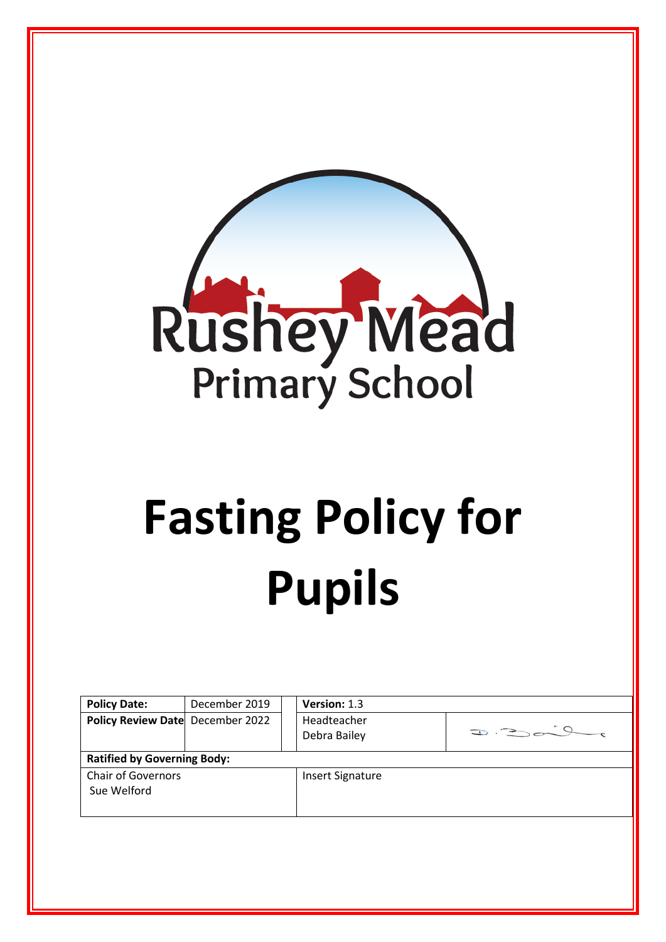

# **Fasting Policy for Pupils**

| <b>Policy Date:</b>                      | December 2019 |  | Version: 1.3                             |  |  |  |  |  |
|------------------------------------------|---------------|--|------------------------------------------|--|--|--|--|--|
| Policy Review Date December 2022         |               |  | Headteacher<br>$D = 300$<br>Debra Bailey |  |  |  |  |  |
| <b>Ratified by Governing Body:</b>       |               |  |                                          |  |  |  |  |  |
| <b>Chair of Governors</b><br>Sue Welford |               |  | <b>Insert Signature</b>                  |  |  |  |  |  |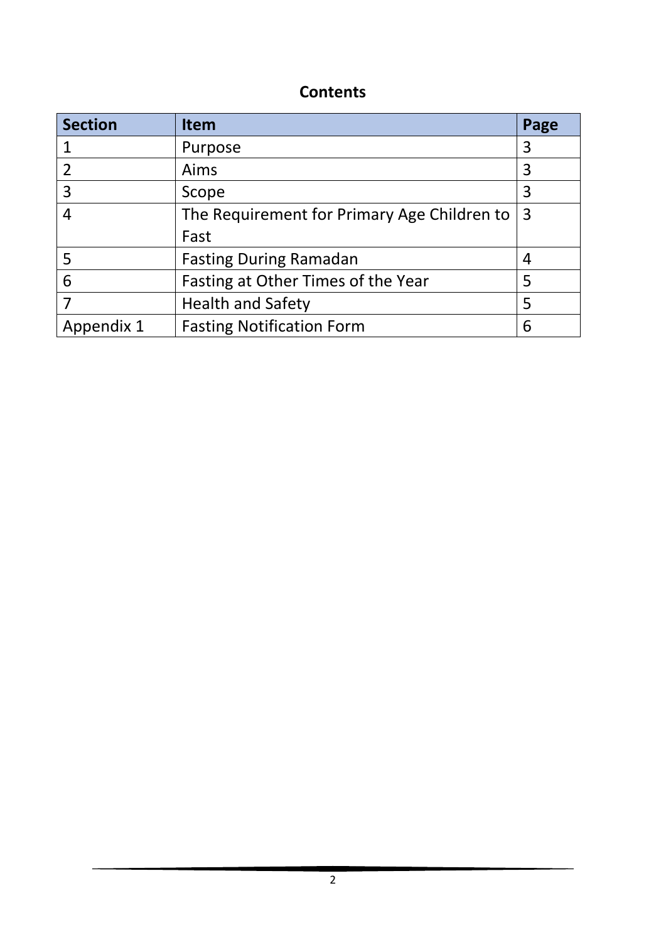## **Contents**

| <b>Section</b> | <b>Item</b>                                 | Page |
|----------------|---------------------------------------------|------|
|                | Purpose                                     | 3    |
| $\overline{2}$ | Aims                                        | 3    |
| $\overline{3}$ | Scope                                       | 3    |
| 4              | The Requirement for Primary Age Children to |      |
|                | Fast                                        |      |
| -5             | <b>Fasting During Ramadan</b>               |      |
| 6              | Fasting at Other Times of the Year          |      |
|                | <b>Health and Safety</b>                    |      |
| Appendix 1     | <b>Fasting Notification Form</b>            |      |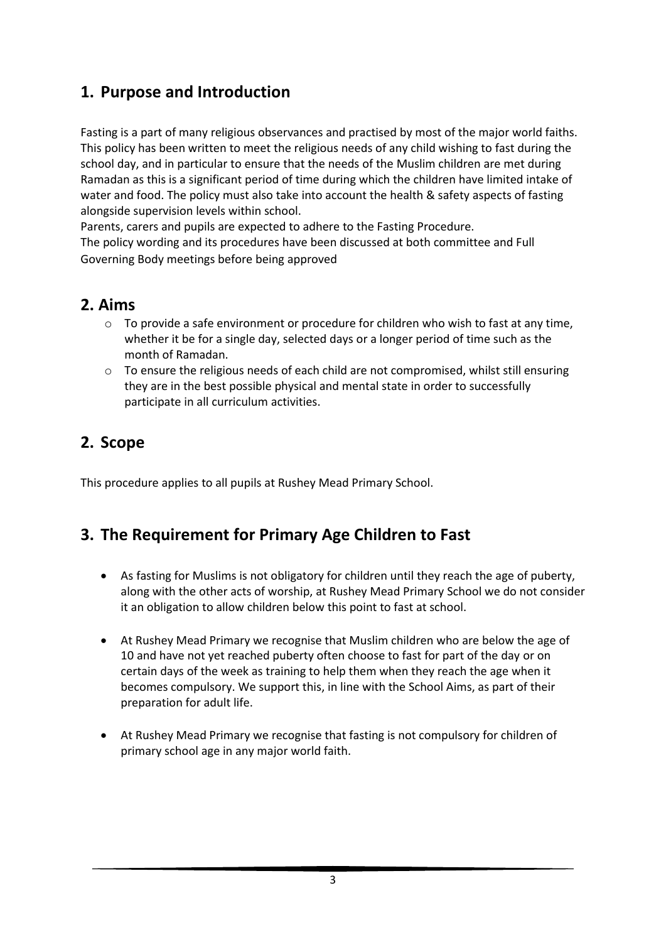## **1. Purpose and Introduction**

Fasting is a part of many religious observances and practised by most of the major world faiths. This policy has been written to meet the religious needs of any child wishing to fast during the school day, and in particular to ensure that the needs of the Muslim children are met during Ramadan as this is a significant period of time during which the children have limited intake of water and food. The policy must also take into account the health & safety aspects of fasting alongside supervision levels within school.

Parents, carers and pupils are expected to adhere to the Fasting Procedure.

The policy wording and its procedures have been discussed at both committee and Full Governing Body meetings before being approved

## **2. Aims**

- o To provide a safe environment or procedure for children who wish to fast at any time, whether it be for a single day, selected days or a longer period of time such as the month of Ramadan.
- $\circ$  To ensure the religious needs of each child are not compromised, whilst still ensuring they are in the best possible physical and mental state in order to successfully participate in all curriculum activities.

## **2. Scope**

This procedure applies to all pupils at Rushey Mead Primary School.

## **3. The Requirement for Primary Age Children to Fast**

- As fasting for Muslims is not obligatory for children until they reach the age of puberty, along with the other acts of worship, at Rushey Mead Primary School we do not consider it an obligation to allow children below this point to fast at school.
- At Rushey Mead Primary we recognise that Muslim children who are below the age of 10 and have not yet reached puberty often choose to fast for part of the day or on certain days of the week as training to help them when they reach the age when it becomes compulsory. We support this, in line with the School Aims, as part of their preparation for adult life.
- At Rushey Mead Primary we recognise that fasting is not compulsory for children of primary school age in any major world faith.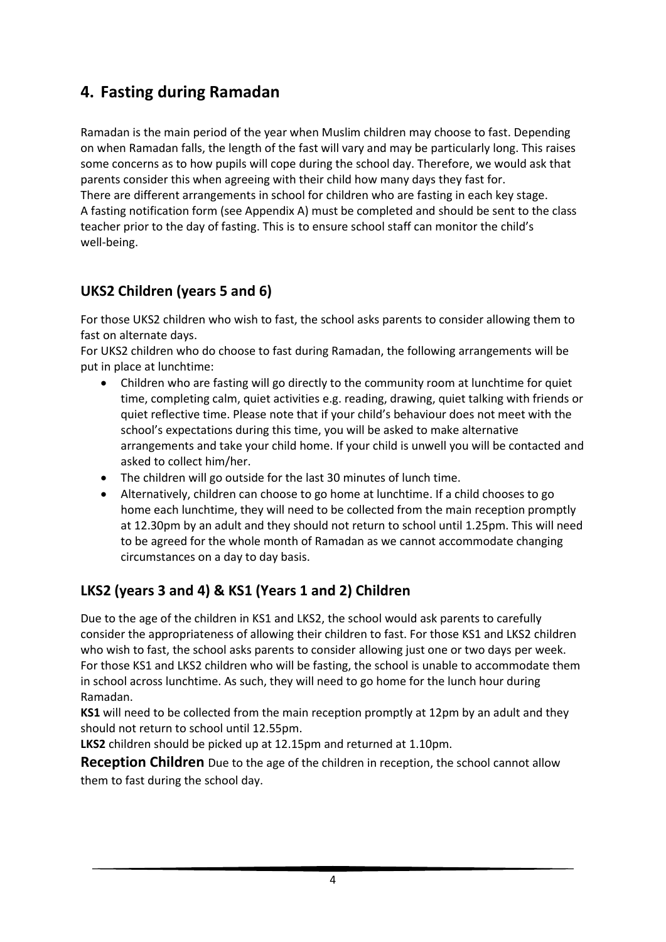## **4. Fasting during Ramadan**

Ramadan is the main period of the year when Muslim children may choose to fast. Depending on when Ramadan falls, the length of the fast will vary and may be particularly long. This raises some concerns as to how pupils will cope during the school day. Therefore, we would ask that parents consider this when agreeing with their child how many days they fast for. There are different arrangements in school for children who are fasting in each key stage. A fasting notification form (see Appendix A) must be completed and should be sent to the class teacher prior to the day of fasting. This is to ensure school staff can monitor the child's well-being.

#### **UKS2 Children (years 5 and 6)**

For those UKS2 children who wish to fast, the school asks parents to consider allowing them to fast on alternate days.

For UKS2 children who do choose to fast during Ramadan, the following arrangements will be put in place at lunchtime:

- Children who are fasting will go directly to the community room at lunchtime for quiet time, completing calm, quiet activities e.g. reading, drawing, quiet talking with friends or quiet reflective time. Please note that if your child's behaviour does not meet with the school's expectations during this time, you will be asked to make alternative arrangements and take your child home. If your child is unwell you will be contacted and asked to collect him/her.
- The children will go outside for the last 30 minutes of lunch time.
- Alternatively, children can choose to go home at lunchtime. If a child chooses to go home each lunchtime, they will need to be collected from the main reception promptly at 12.30pm by an adult and they should not return to school until 1.25pm. This will need to be agreed for the whole month of Ramadan as we cannot accommodate changing circumstances on a day to day basis.

### **LKS2 (years 3 and 4) & KS1 (Years 1 and 2) Children**

Due to the age of the children in KS1 and LKS2, the school would ask parents to carefully consider the appropriateness of allowing their children to fast. For those KS1 and LKS2 children who wish to fast, the school asks parents to consider allowing just one or two days per week. For those KS1 and LKS2 children who will be fasting, the school is unable to accommodate them in school across lunchtime. As such, they will need to go home for the lunch hour during Ramadan.

**KS1** will need to be collected from the main reception promptly at 12pm by an adult and they should not return to school until 12.55pm.

**LKS2** children should be picked up at 12.15pm and returned at 1.10pm.

**Reception Children** Due to the age of the children in reception, the school cannot allow them to fast during the school day.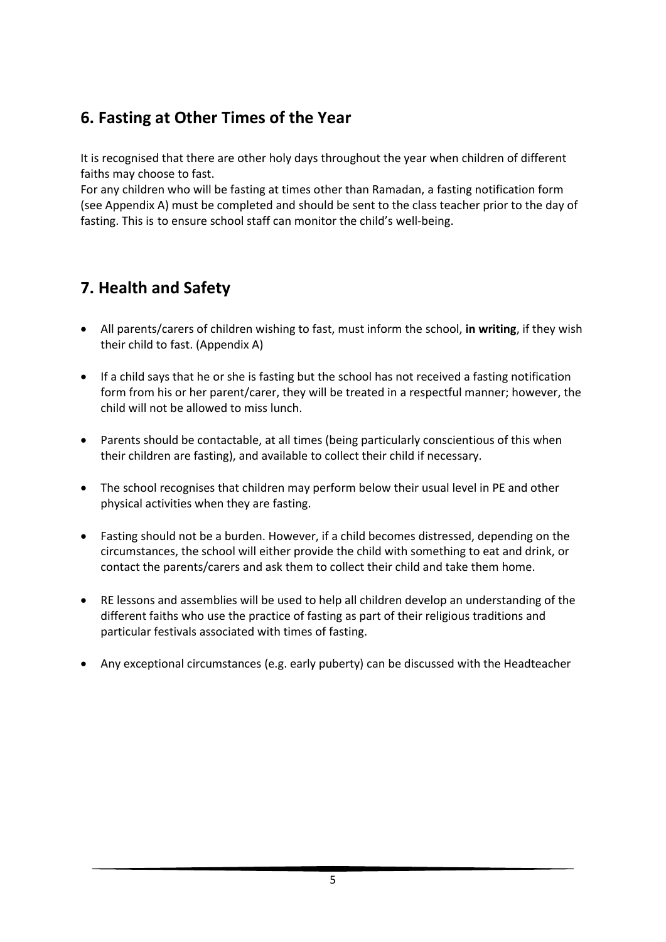# **6. Fasting at Other Times of the Year**

It is recognised that there are other holy days throughout the year when children of different faiths may choose to fast.

For any children who will be fasting at times other than Ramadan, a fasting notification form (see Appendix A) must be completed and should be sent to the class teacher prior to the day of fasting. This is to ensure school staff can monitor the child's well-being.

# **7. Health and Safety**

- All parents/carers of children wishing to fast, must inform the school, **in writing**, if they wish their child to fast. (Appendix A)
- If a child says that he or she is fasting but the school has not received a fasting notification form from his or her parent/carer, they will be treated in a respectful manner; however, the child will not be allowed to miss lunch.
- Parents should be contactable, at all times (being particularly conscientious of this when their children are fasting), and available to collect their child if necessary.
- The school recognises that children may perform below their usual level in PE and other physical activities when they are fasting.
- Fasting should not be a burden. However, if a child becomes distressed, depending on the circumstances, the school will either provide the child with something to eat and drink, or contact the parents/carers and ask them to collect their child and take them home.
- RE lessons and assemblies will be used to help all children develop an understanding of the different faiths who use the practice of fasting as part of their religious traditions and particular festivals associated with times of fasting.
- Any exceptional circumstances (e.g. early puberty) can be discussed with the Headteacher